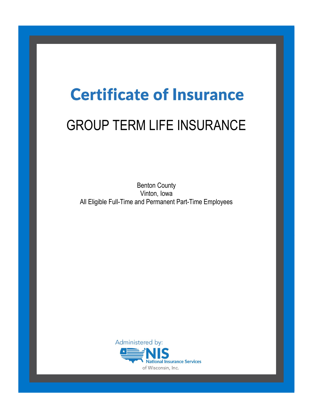# **Certificate of Insurance**

## GROUP TERM LIFE INSURANCE

Benton County Vinton, Iowa All Eligible Full-Time and Permanent Part-Time Employees

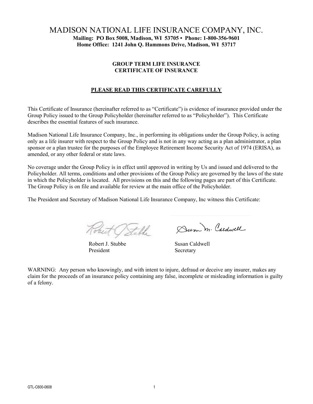#### MADISON NATIONAL LIFE INSURANCE COMPANY, INC. Mailing: PO Box 5008, Madison, WI 53705 • Phone: 1-800-356-9601 Home Office: 1241 John Q. Hammons Drive, Madison, WI 53717

#### GROUP TERM LIFE INSURANCE CERTIFICATE OF INSURANCE

#### PLEASE READ THIS CERTIFICATE CAREFULLY

This Certificate of Insurance (hereinafter referred to as "Certificate") is evidence of insurance provided under the Group Policy issued to the Group Policyholder (hereinafter referred to as "Policyholder"). This Certificate describes the essential features of such insurance.

Madison National Life Insurance Company, Inc., in performing its obligations under the Group Policy, is acting only as a life insurer with respect to the Group Policy and is not in any way acting as a plan administrator, a plan sponsor or a plan trustee for the purposes of the Employee Retirement Income Security Act of 1974 (ERISA), as amended, or any other federal or state laws.

No coverage under the Group Policy is in effect until approved in writing by Us and issued and delivered to the Policyholder. All terms, conditions and other provisions of the Group Policy are governed by the laws of the state in which the Policyholder is located. All provisions on this and the following pages are part of this Certificate. The Group Policy is on file and available for review at the main office of the Policyholder.

The President and Secretary of Madison National Life Insurance Company, Inc witness this Certificate:

Heit P Suble

Robert J. Stubbe Susan Caldwell President Secretary

Durm M. Caedwell

WARNING: Any person who knowingly, and with intent to injure, defraud or deceive any insurer, makes any claim for the proceeds of an insurance policy containing any false, incomplete or misleading information is guilty of a felony.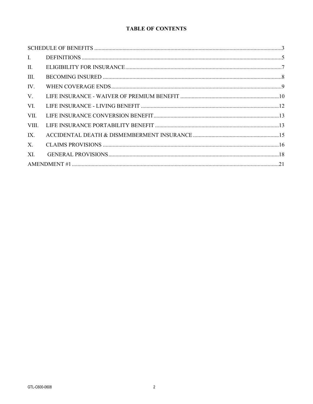#### **TABLE OF CONTENTS**

| $\mathbf{I}$ . |  |  |  |
|----------------|--|--|--|
| II.            |  |  |  |
| III.           |  |  |  |
| IV.            |  |  |  |
| $V_{\cdot}$    |  |  |  |
| VI.            |  |  |  |
| VII.           |  |  |  |
| VIII.          |  |  |  |
| IX.            |  |  |  |
| $X_{\cdot}$    |  |  |  |
| XI.            |  |  |  |
|                |  |  |  |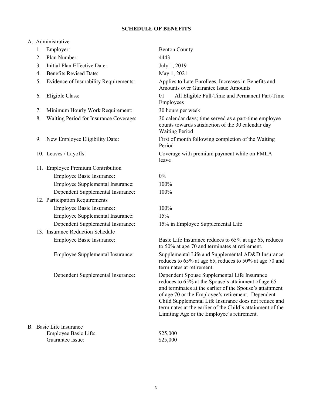#### SCHEDULE OF BENEFITS

| A. Administrative |  |
|-------------------|--|
|                   |  |

| 1. | Employer:                              | <b>Benton County</b>                                                                                                                                                                                                                                                                                                                                                                      |
|----|----------------------------------------|-------------------------------------------------------------------------------------------------------------------------------------------------------------------------------------------------------------------------------------------------------------------------------------------------------------------------------------------------------------------------------------------|
| 2. | Plan Number:                           | 4443                                                                                                                                                                                                                                                                                                                                                                                      |
| 3. | Initial Plan Effective Date:           | July 1, 2019                                                                                                                                                                                                                                                                                                                                                                              |
| 4. | <b>Benefits Revised Date:</b>          | May 1, 2021                                                                                                                                                                                                                                                                                                                                                                               |
| 5. | Evidence of Insurability Requirements: | Applies to Late Enrollees, Increases in Benefits and<br>Amounts over Guarantee Issue Amounts                                                                                                                                                                                                                                                                                              |
| 6. | Eligible Class:                        | All Eligible Full-Time and Permanent Part-Time<br>01<br>Employees                                                                                                                                                                                                                                                                                                                         |
| 7. | Minimum Hourly Work Requirement:       | 30 hours per week                                                                                                                                                                                                                                                                                                                                                                         |
| 8. | Waiting Period for Insurance Coverage: | 30 calendar days; time served as a part-time employee<br>counts towards satisfaction of the 30 calendar day<br><b>Waiting Period</b>                                                                                                                                                                                                                                                      |
| 9. | New Employee Eligibility Date:         | First of month following completion of the Waiting<br>Period                                                                                                                                                                                                                                                                                                                              |
|    | 10. Leaves / Layoffs:                  | Coverage with premium payment while on FMLA<br>leave                                                                                                                                                                                                                                                                                                                                      |
|    | 11. Employee Premium Contribution      |                                                                                                                                                                                                                                                                                                                                                                                           |
|    | <b>Employee Basic Insurance:</b>       | $0\%$                                                                                                                                                                                                                                                                                                                                                                                     |
|    | Employee Supplemental Insurance:       | 100%                                                                                                                                                                                                                                                                                                                                                                                      |
|    | Dependent Supplemental Insurance:      | 100%                                                                                                                                                                                                                                                                                                                                                                                      |
|    | 12. Participation Requirements         |                                                                                                                                                                                                                                                                                                                                                                                           |
|    | Employee Basic Insurance:              | 100%                                                                                                                                                                                                                                                                                                                                                                                      |
|    | Employee Supplemental Insurance:       | 15%                                                                                                                                                                                                                                                                                                                                                                                       |
|    | Dependent Supplemental Insurance:      | 15% in Employee Supplemental Life                                                                                                                                                                                                                                                                                                                                                         |
|    | 13. Insurance Reduction Schedule       |                                                                                                                                                                                                                                                                                                                                                                                           |
|    | <b>Employee Basic Insurance:</b>       | Basic Life Insurance reduces to 65% at age 65, reduces<br>to 50% at age 70 and terminates at retirement.                                                                                                                                                                                                                                                                                  |
|    | Employee Supplemental Insurance:       | Supplemental Life and Supplemental AD&D Insurance<br>reduces to 65% at age 65, reduces to 50% at age 70 and<br>terminates at retirement.                                                                                                                                                                                                                                                  |
|    | Dependent Supplemental Insurance:      | Dependent Spouse Supplemental Life Insurance<br>reduces to 65% at the Spouse's attainment of age 65<br>and terminates at the earlier of the Spouse's attainment<br>of age 70 or the Employee's retirement. Dependent<br>Child Supplemental Life Insurance does not reduce and<br>terminates at the earlier of the Child's attainment of the<br>Limiting Age or the Employee's retirement. |
|    | B. Basic Life Insurance                |                                                                                                                                                                                                                                                                                                                                                                                           |
|    | Employee Basic Life:                   | \$25,000                                                                                                                                                                                                                                                                                                                                                                                  |
|    | Guarantee Issue:                       | \$25,000                                                                                                                                                                                                                                                                                                                                                                                  |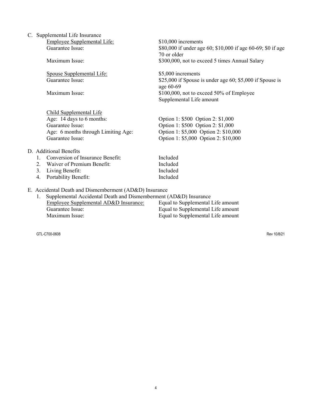C. Supplemental Life Insurance Employee Supplemental Life: \$10,000 increments<br>Guarantee Issue: \$80,000 if under age

Spouse Supplemental Life:  $$5,000$  increments

Child Supplemental Life Age: 14 days to 6 months: Option 1: \$500 Option 2: \$1,000 Guarantee Issue: Option 1: \$500 Option 2: \$1,000 Age: 6 months through Limiting Age: Option 1: \$5,000 Option 2: \$10,000

D. Additional Benefits

- 1. Conversion of Insurance Benefit: Included
- 2. Waiver of Premium Benefit: Included
- 3. Living Benefit: Included
- 4. Portability Benefit: Included

### \$80,000 if under age 60; \$10,000 if age 60-69; \$0 if age 70 or older Maximum Issue: \$300,000, not to exceed 5 times Annual Salary

Guarantee Issue: \$25,000 if Spouse is under age 60; \$5,000 if Spouse is age 60-69 Maximum Issue: \$100,000, not to exceed 50% of Employee Supplemental Life amount

Guarantee Issue: Option 1: \$5,000 Option 2: \$10,000

- 
- E. Accidental Death and Dismemberment (AD&D) Insurance
	- 1. Supplemental Accidental Death and Dismemberment (AD&D) Insurance Employee Supplemental AD&D Insurance: Equal to Supplemental Life amount Guarantee Issue: Equal to Supplemental Life amount Maximum Issue: Equal to Supplemental Life amount

GTL-C700-0608 Rev 10/8/21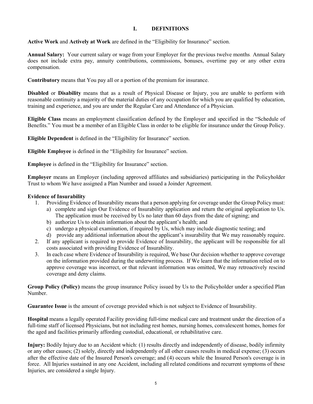#### I. DEFINITIONS

Active Work and Actively at Work are defined in the "Eligibility for Insurance" section.

Annual Salary: Your current salary or wage from your Employer for the previous twelve months. Annual Salary does not include extra pay, annuity contributions, commissions, bonuses, overtime pay or any other extra compensation.

Contributory means that You pay all or a portion of the premium for insurance.

Disabled or Disability means that as a result of Physical Disease or Injury, you are unable to perform with reasonable continuity a majority of the material duties of any occupation for which you are qualified by education, training and experience, and you are under the Regular Care and Attendance of a Physician.

Eligible Class means an employment classification defined by the Employer and specified in the "Schedule of Benefits." You must be a member of an Eligible Class in order to be eligible for insurance under the Group Policy.

Eligible Dependent is defined in the "Eligibility for Insurance" section.

Eligible Employee is defined in the "Eligibility for Insurance" section.

Employee is defined in the "Eligibility for Insurance" section.

Employer means an Employer (including approved affiliates and subsidiaries) participating in the Policyholder Trust to whom We have assigned a Plan Number and issued a Joinder Agreement.

#### Evidence of Insurability

- 1. Providing Evidence of Insurability means that a person applying for coverage under the Group Policy must:
	- a) complete and sign Our Evidence of Insurability application and return the original application to Us.
	- The application must be received by Us no later than 60 days from the date of signing; and b) authorize Us to obtain information about the applicant's health; and
	- c) undergo a physical examination, if required by Us, which may include diagnostic testing; and
	- d) provide any additional information about the applicant's insurability that We may reasonably require.
- 2. If any applicant is required to provide Evidence of Insurability, the applicant will be responsible for all costs associated with providing Evidence of Insurability.
- 3. In each case where Evidence of Insurability is required, We base Our decision whether to approve coverage on the information provided during the underwriting process. If We learn that the information relied on to approve coverage was incorrect, or that relevant information was omitted, We may retroactively rescind coverage and deny claims.

Group Policy (Policy) means the group insurance Policy issued by Us to the Policyholder under a specified Plan Number.

Guarantee Issue is the amount of coverage provided which is not subject to Evidence of Insurability.

Hospital means a legally operated Facility providing full-time medical care and treatment under the direction of a full-time staff of licensed Physicians, but not including rest homes, nursing homes, convalescent homes, homes for the aged and facilities primarily affording custodial, educational, or rehabilitative care.

Injury: Bodily Injury due to an Accident which: (1) results directly and independently of disease, bodily infirmity or any other causes; (2) solely, directly and independently of all other causes results in medical expense; (3) occurs after the effective date of the Insured Person's coverage; and (4) occurs while the Insured Person's coverage is in force. All Injuries sustained in any one Accident, including all related conditions and recurrent symptoms of these Injuries, are considered a single Injury.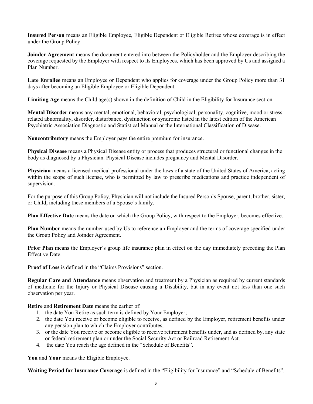Insured Person means an Eligible Employee, Eligible Dependent or Eligible Retiree whose coverage is in effect under the Group Policy.

Joinder Agreement means the document entered into between the Policyholder and the Employer describing the coverage requested by the Employer with respect to its Employees, which has been approved by Us and assigned a Plan Number.

Late Enrollee means an Employee or Dependent who applies for coverage under the Group Policy more than 31 days after becoming an Eligible Employee or Eligible Dependent.

Limiting Age means the Child age(s) shown in the definition of Child in the Eligibility for Insurance section.

Mental Disorder means any mental, emotional, behavioral, psychological, personality, cognitive, mood or stress related abnormality, disorder, disturbance, dysfunction or syndrome listed in the latest edition of the American Psychiatric Association Diagnostic and Statistical Manual or the International Classification of Disease.

Noncontributory means the Employer pays the entire premium for insurance.

Physical Disease means a Physical Disease entity or process that produces structural or functional changes in the body as diagnosed by a Physician. Physical Disease includes pregnancy and Mental Disorder.

Physician means a licensed medical professional under the laws of a state of the United States of America, acting within the scope of such license, who is permitted by law to prescribe medications and practice independent of supervision.

For the purpose of this Group Policy, Physician will not include the Insured Person's Spouse, parent, brother, sister, or Child, including these members of a Spouse's family.

Plan Effective Date means the date on which the Group Policy, with respect to the Employer, becomes effective.

Plan Number means the number used by Us to reference an Employer and the terms of coverage specified under the Group Policy and Joinder Agreement.

Prior Plan means the Employer's group life insurance plan in effect on the day immediately preceding the Plan Effective Date.

Proof of Loss is defined in the "Claims Provisions" section.

Regular Care and Attendance means observation and treatment by a Physician as required by current standards of medicine for the Injury or Physical Disease causing a Disability, but in any event not less than one such observation per year.

Retire and Retirement Date means the earlier of:

- 1. the date You Retire as such term is defined by Your Employer;
- 2. the date You receive or become eligible to receive, as defined by the Employer, retirement benefits under any pension plan to which the Employer contributes,
- 3. or the date You receive or become eligible to receive retirement benefits under, and as defined by, any state or federal retirement plan or under the Social Security Act or Railroad Retirement Act.
- 4. the date You reach the age defined in the "Schedule of Benefits".

You and Your means the Eligible Employee.

Waiting Period for Insurance Coverage is defined in the "Eligibility for Insurance" and "Schedule of Benefits".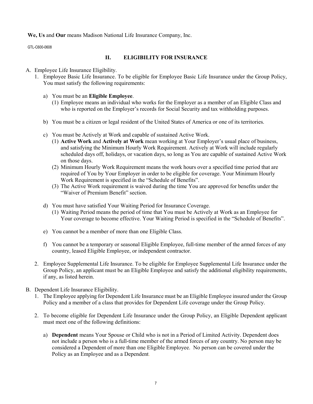#### We, Us and Our means Madison National Life Insurance Company, Inc.

GTL-C600-0608

#### II. ELIGIBILITY FOR INSURANCE

#### A. Employee Life Insurance Eligibility.

- 1. Employee Basic Life Insurance. To be eligible for Employee Basic Life Insurance under the Group Policy, You must satisfy the following requirements:
	- a) You must be an Eligible Employee.
		- (1) Employee means an individual who works for the Employer as a member of an Eligible Class and who is reported on the Employer's records for Social Security and tax withholding purposes.
	- b) You must be a citizen or legal resident of the United States of America or one of its territories.
	- c) You must be Actively at Work and capable of sustained Active Work.
		- (1) Active Work and Actively at Work mean working at Your Employer's usual place of business, and satisfying the Minimum Hourly Work Requirement. Actively at Work will include regularly scheduled days off, holidays, or vacation days, so long as You are capable of sustained Active Work on those days.
		- (2) Minimum Hourly Work Requirement means the work hours over a specified time period that are required of You by Your Employer in order to be eligible for coverage. Your Minimum Hourly Work Requirement is specified in the "Schedule of Benefits".
		- (3) The Active Work requirement is waived during the time You are approved for benefits under the "Waiver of Premium Benefit" section.
	- d) You must have satisfied Your Waiting Period for Insurance Coverage.
		- (1) Waiting Period means the period of time that You must be Actively at Work as an Employee for Your coverage to become effective. Your Waiting Period is specified in the "Schedule of Benefits".
	- e) You cannot be a member of more than one Eligible Class.
	- f) You cannot be a temporary or seasonal Eligible Employee, full-time member of the armed forces of any country, leased Eligible Employee, or independent contractor.
- 2. Employee Supplemental Life Insurance. To be eligible for Employee Supplemental Life Insurance under the Group Policy, an applicant must be an Eligible Employee and satisfy the additional eligibility requirements, if any, as listed herein.
- B. Dependent Life Insurance Eligibility.
	- 1. The Employee applying for Dependent Life Insurance must be an Eligible Employee insured under the Group Policy and a member of a class that provides for Dependent Life coverage under the Group Policy.
	- 2. To become eligible for Dependent Life Insurance under the Group Policy, an Eligible Dependent applicant must meet one of the following definitions:
		- a) Dependent means Your Spouse or Child who is not in a Period of Limited Activity. Dependent does not include a person who is a full-time member of the armed forces of any country. No person may be considered a Dependent of more than one Eligible Employee. No person can be covered under the Policy as an Employee and as a Dependent.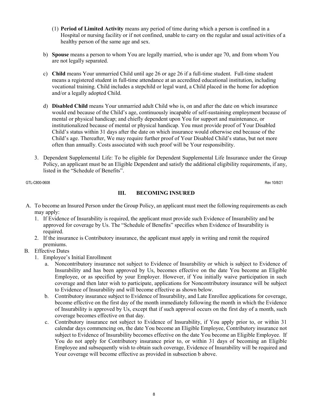- (1) Period of Limited Activity means any period of time during which a person is confined in a Hospital or nursing facility or if not confined, unable to carry on the regular and usual activities of a healthy person of the same age and sex.
- b) Spouse means a person to whom You are legally married, who is under age 70, and from whom You are not legally separated.
- c) Child means Your unmarried Child until age 26 or age 26 if a full-time student. Full-time student means a registered student in full-time attendance at an accredited educational institution, including vocational training. Child includes a stepchild or legal ward, a Child placed in the home for adoption and/or a legally adopted Child.
- d) Disabled Child means Your unmarried adult Child who is, on and after the date on which insurance would end because of the Child's age, continuously incapable of self-sustaining employment because of mental or physical handicap; and chiefly dependent upon You for support and maintenance, or institutionalized because of mental or physical handicap. You must provide proof of Your Disabled Child's status within 31 days after the date on which insurance would otherwise end because of the Child's age. Thereafter, We may require further proof of Your Disabled Child's status, but not more often than annually. Costs associated with such proof will be Your responsibility.
- 3. Dependent Supplemental Life: To be eligible for Dependent Supplemental Life Insurance under the Group Policy, an applicant must be an Eligible Dependent and satisfy the additional eligibility requirements, if any, listed in the "Schedule of Benefits".

GTL-C800-0608 Rev 10/8/21

## III. BECOMING INSURED

- A. To become an Insured Person under the Group Policy, an applicant must meet the following requirements as each may apply:
	- 1. If Evidence of Insurability is required, the applicant must provide such Evidence of Insurability and be approved for coverage by Us. The "Schedule of Benefits" specifies when Evidence of Insurability is required.
	- 2. If the insurance is Contributory insurance, the applicant must apply in writing and remit the required premiums.
- B. Effective Dates
	- 1. Employee's Initial Enrollment
		- a. Noncontributory insurance not subject to Evidence of Insurability or which is subject to Evidence of Insurability and has been approved by Us, becomes effective on the date You become an Eligible Employee, or as specified by your Employer. However, if You initially waive participation in such coverage and then later wish to participate, applications for Noncontributory insurance will be subject to Evidence of Insurability and will become effective as shown below.
		- b. Contributory insurance subject to Evidence of Insurability, and Late Enrollee applications for coverage, become effective on the first day of the month immediately following the month in which the Evidence of Insurability is approved by Us, except that if such approval occurs on the first day of a month, such coverage becomes effective on that day.
		- c. Contributory insurance not subject to Evidence of Insurability, if You apply prior to, or within 31 calendar days commencing on, the date You become an Eligible Employee, Contributory insurance not subject to Evidence of Insurability becomes effective on the date You become an Eligible Employee. If You do not apply for Contributory insurance prior to, or within 31 days of becoming an Eligible Employee and subsequently wish to obtain such coverage, Evidence of Insurability will be required and Your coverage will become effective as provided in subsection b above.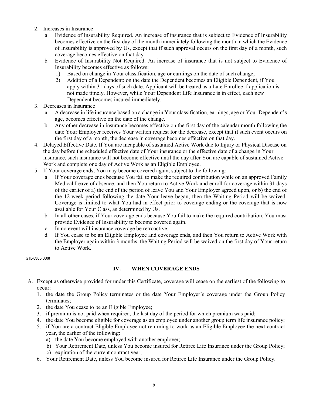- 2. Increases in Insurance
	- a. Evidence of Insurability Required. An increase of insurance that is subject to Evidence of Insurability becomes effective on the first day of the month immediately following the month in which the Evidence of Insurability is approved by Us, except that if such approval occurs on the first day of a month, such coverage becomes effective on that day.
	- b. Evidence of Insurability Not Required. An increase of insurance that is not subject to Evidence of Insurability becomes effective as follows:
		- 1) Based on change in Your classification, age or earnings on the date of such change;
		- 2) Addition of a Dependent: on the date the Dependent becomes an Eligible Dependent, if You apply within 31 days of such date. Applicant will be treated as a Late Enrollee if application is not made timely. However, while Your Dependent Life Insurance is in effect, each new Dependent becomes insured immediately.
- 3. Decreases in Insurance
	- a. A decrease in life insurance based on a change in Your classification, earnings, age or Your Dependent's age, becomes effective on the date of the change.
	- b. Any other decrease in insurance becomes effective on the first day of the calendar month following the date Your Employer receives Your written request for the decrease, except that if such event occurs on the first day of a month, the decrease in coverage becomes effective on that day.
- 4. Delayed Effective Date. If You are incapable of sustained Active Work due to Injury or Physical Disease on the day before the scheduled effective date of Your insurance or the effective date of a change in Your insurance, such insurance will not become effective until the day after You are capable of sustained Active Work and complete one day of Active Work as an Eligible Employee.
- 5. If Your coverage ends, You may become covered again, subject to the following:
	- a. If Your coverage ends because You fail to make the required contribution while on an approved Family Medical Leave of absence, and then You return to Active Work and enroll for coverage within 31 days of the earlier of a) the end of the period of leave You and Your Employer agreed upon, or b) the end of the 12-week period following the date Your leave began, then the Waiting Period will be waived. Coverage is limited to what You had in effect prior to coverage ending or the coverage that is now available for Your Class, as determined by Us.
	- b. In all other cases, if Your coverage ends because You fail to make the required contribution, You must provide Evidence of Insurability to become covered again.
	- c. In no event will insurance coverage be retroactive.
	- d. If You cease to be an Eligible Employee and coverage ends, and then You return to Active Work with the Employer again within 3 months, the Waiting Period will be waived on the first day of Your return to Active Work.

GTL-C800-0608

#### IV. WHEN COVERAGE ENDS

- A. Except as otherwise provided for under this Certificate, coverage will cease on the earliest of the following to occur:
	- 1. the date the Group Policy terminates or the date Your Employer's coverage under the Group Policy terminates;
	- 2. the date You cease to be an Eligible Employee;
	- 3. if premium is not paid when required, the last day of the period for which premium was paid;
	- 4. the date You become eligible for coverage as an employee under another group term life insurance policy;
	- 5. if You are a contract Eligible Employee not returning to work as an Eligible Employee the next contract year, the earlier of the following:
		- a) the date You become employed with another employer;
		- b) Your Retirement Date, unless You become insured for Retiree Life Insurance under the Group Policy;
		- c) expiration of the current contract year;
	- 6. Your Retirement Date, unless You become insured for Retiree Life Insurance under the Group Policy.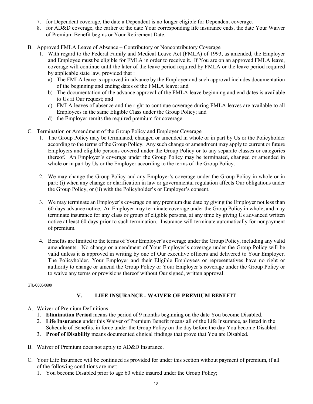- 7. for Dependent coverage, the date a Dependent is no longer eligible for Dependent coverage.
- 8. for AD&D coverage, the earlier of the date Your corresponding life insurance ends, the date Your Waiver of Premium Benefit begins or Your Retirement Date.
- B. Approved FMLA Leave of Absence Contributory or Noncontributory Coverage
	- 1. With regard to the Federal Family and Medical Leave Act (FMLA) of 1993, as amended, the Employer and Employee must be eligible for FMLA in order to receive it. If You are on an approved FMLA leave, coverage will continue until the later of the leave period required by FMLA or the leave period required by applicable state law, provided that :
		- a) The FMLA leave is approved in advance by the Employer and such approval includes documentation of the beginning and ending dates of the FMLA leave; and
		- b) The documentation of the advance approval of the FMLA leave beginning and end dates is available to Us at Our request; and
		- c) FMLA leaves of absence and the right to continue coverage during FMLA leaves are available to all Employees in the same Eligible Class under the Group Policy; and
		- d) the Employer remits the required premium for coverage.
- C. Termination or Amendment of the Group Policy and Employer Coverage
	- 1. The Group Policy may be terminated, changed or amended in whole or in part by Us or the Policyholder according to the terms of the Group Policy. Any such change or amendment may apply to current or future Employers and eligible persons covered under the Group Policy or to any separate classes or categories thereof. An Employer's coverage under the Group Policy may be terminated, changed or amended in whole or in part by Us or the Employer according to the terms of the Group Policy.
	- 2. We may change the Group Policy and any Employer's coverage under the Group Policy in whole or in part: (i) when any change or clarification in law or governmental regulation affects Our obligations under the Group Policy, or (ii) with the Policyholder's or Employer's consent.
	- 3. We may terminate an Employer's coverage on any premium due date by giving the Employer not less than 60 days advance notice. An Employer may terminate coverage under the Group Policy in whole, and may terminate insurance for any class or group of eligible persons, at any time by giving Us advanced written notice at least 60 days prior to such termination. Insurance will terminate automatically for nonpayment of premium.
	- 4. Benefits are limited to the terms of Your Employer's coverage under the Group Policy, including any valid amendments. No change or amendment of Your Employer's coverage under the Group Policy will be valid unless it is approved in writing by one of Our executive officers and delivered to Your Employer. The Policyholder, Your Employer and their Eligible Employees or representatives have no right or authority to change or amend the Group Policy or Your Employer's coverage under the Group Policy or to waive any terms or provisions thereof without Our signed, written approval.

GTL-C800-0608

#### V. LIFE INSURANCE - WAIVER OF PREMIUM BENEFIT

- A. Waiver of Premium Definitions
	- 1. Elimination Period means the period of 9 months beginning on the date You become Disabled.
	- 2. Life Insurance under this Waiver of Premium Benefit means all of the Life Insurance, as listed in the Schedule of Benefits, in force under the Group Policy on the day before the day You become Disabled.
	- 3. Proof of Disability means documented clinical findings that prove that You are Disabled.
- B. Waiver of Premium does not apply to AD&D Insurance.
- C. Your Life Insurance will be continued as provided for under this section without payment of premium, if all of the following conditions are met:
	- 1. You become Disabled prior to age 60 while insured under the Group Policy;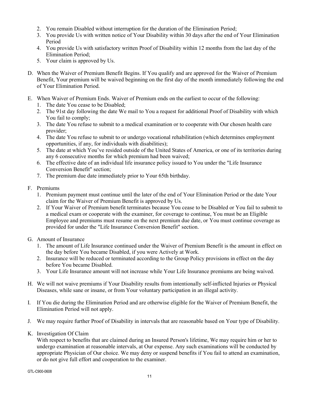- 2. You remain Disabled without interruption for the duration of the Elimination Period;
- 3. You provide Us with written notice of Your Disability within 30 days after the end of Your Elimination Period
- 4. You provide Us with satisfactory written Proof of Disability within 12 months from the last day of the Elimination Period;
- 5. Your claim is approved by Us.
- D. When the Waiver of Premium Benefit Begins. If You qualify and are approved for the Waiver of Premium Benefit, Your premium will be waived beginning on the first day of the month immediately following the end of Your Elimination Period.
- E. When Waiver of Premium Ends. Waiver of Premium ends on the earliest to occur of the following:
	- 1. The date You cease to be Disabled;
	- 2. The 91st day following the date We mail to You a request for additional Proof of Disability with which You fail to comply;
	- 3. The date You refuse to submit to a medical examination or to cooperate with Our chosen health care provider;
	- 4. The date You refuse to submit to or undergo vocational rehabilitation (which determines employment opportunities, if any, for individuals with disabilities);
	- 5. The date at which You've resided outside of the United States of America, or one of its territories during any 6 consecutive months for which premium had been waived;
	- 6. The effective date of an individual life insurance policy issued to You under the "Life Insurance Conversion Benefit" section;
	- 7. The premium due date immediately prior to Your 65th birthday.
- F. Premiums
	- 1. Premium payment must continue until the later of the end of Your Elimination Period or the date Your claim for the Waiver of Premium Benefit is approved by Us.
	- 2. If Your Waiver of Premium benefit terminates because You cease to be Disabled or You fail to submit to a medical exam or cooperate with the examiner, for coverage to continue, You must be an Eligible Employee and premiums must resume on the next premium due date, or You must continue coverage as provided for under the "Life Insurance Conversion Benefit" section.
- G. Amount of Insurance
	- 1. The amount of Life Insurance continued under the Waiver of Premium Benefit is the amount in effect on the day before You became Disabled, if you were Actively at Work.
	- 2. Insurance will be reduced or terminated according to the Group Policy provisions in effect on the day before You became Disabled.
	- 3. Your Life Insurance amount will not increase while Your Life Insurance premiums are being waived.
- H. We will not waive premiums if Your Disability results from intentionally self-inflicted Injuries or Physical Diseases, while sane or insane, or from Your voluntary participation in an illegal activity.
- I. If You die during the Elimination Period and are otherwise eligible for the Waiver of Premium Benefit, the Elimination Period will not apply.
- J. We may require further Proof of Disability in intervals that are reasonable based on Your type of Disability.
- K. Investigation Of Claim

With respect to benefits that are claimed during an Insured Person's lifetime, We may require him or her to undergo examination at reasonable intervals, at Our expense. Any such examinations will be conducted by appropriate Physician of Our choice. We may deny or suspend benefits if You fail to attend an examination, or do not give full effort and cooperation to the examiner.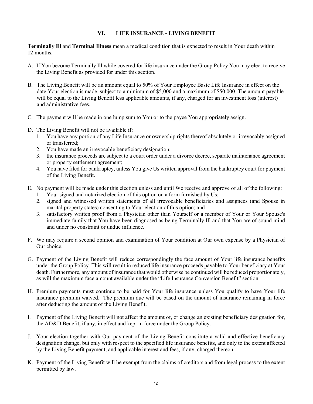#### VI. LIFE INSURANCE - LIVING BENEFIT

Terminally Ill and Terminal Illness mean a medical condition that is expected to result in Your death within 12 months.

- A. If You become Terminally Ill while covered for life insurance under the Group Policy You may elect to receive the Living Benefit as provided for under this section.
- B. The Living Benefit will be an amount equal to 50% of Your Employee Basic Life Insurance in effect on the date Your election is made, subject to a minimum of \$5,000 and a maximum of \$50,000. The amount payable will be equal to the Living Benefit less applicable amounts, if any, charged for an investment loss (interest) and administrative fees.
- C. The payment will be made in one lump sum to You or to the payee You appropriately assign.
- D. The Living Benefit will not be available if:
	- 1. You have any portion of any Life Insurance or ownership rights thereof absolutely or irrevocably assigned or transferred;
	- 2. You have made an irrevocable beneficiary designation;
	- 3. the insurance proceeds are subject to a court order under a divorce decree, separate maintenance agreement or property settlement agreement;
	- 4. You have filed for bankruptcy, unless You give Us written approval from the bankruptcy court for payment of the Living Benefit.
- E. No payment will be made under this election unless and until We receive and approve of all of the following:
	- 1. Your signed and notarized election of this option on a form furnished by Us;
	- 2. signed and witnessed written statements of all irrevocable beneficiaries and assignees (and Spouse in marital property states) consenting to Your election of this option; and
	- 3. satisfactory written proof from a Physician other than Yourself or a member of Your or Your Spouse's immediate family that You have been diagnosed as being Terminally Ill and that You are of sound mind and under no constraint or undue influence.
- F. We may require a second opinion and examination of Your condition at Our own expense by a Physician of Our choice.
- G. Payment of the Living Benefit will reduce correspondingly the face amount of Your life insurance benefits under the Group Policy. This will result in reduced life insurance proceeds payable to Your beneficiary at Your death. Furthermore, any amount of insurance that would otherwise be continued will be reduced proportionately, as will the maximum face amount available under the "Life Insurance Conversion Benefit" section.
- H. Premium payments must continue to be paid for Your life insurance unless You qualify to have Your life insurance premium waived. The premium due will be based on the amount of insurance remaining in force after deducting the amount of the Living Benefit.
- I. Payment of the Living Benefit will not affect the amount of, or change an existing beneficiary designation for, the AD&D Benefit, if any, in effect and kept in force under the Group Policy.
- J. Your election together with Our payment of the Living Benefit constitute a valid and effective beneficiary designation change, but only with respect to the specified life insurance benefits, and only to the extent affected by the Living Benefit payment, and applicable interest and fees, if any, charged thereon.
- K. Payment of the Living Benefit will be exempt from the claims of creditors and from legal process to the extent permitted by law.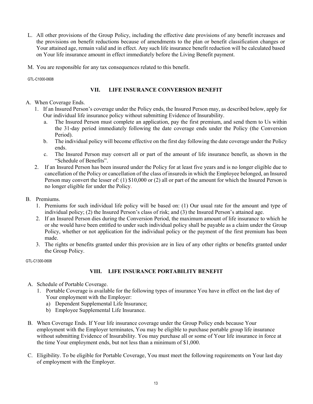L. All other provisions of the Group Policy, including the effective date provisions of any benefit increases and the provisions on benefit reductions because of amendments to the plan or benefit classification changes or Your attained age, remain valid and in effect. Any such life insurance benefit reduction will be calculated based on Your life insurance amount in effect immediately before the Living Benefit payment.

M. You are responsible for any tax consequences related to this benefit.

GTL-C1000-0608

#### VII. LIFE INSURANCE CONVERSION BENEFIT

#### A. When Coverage Ends.

- 1. If an Insured Person's coverage under the Policy ends, the Insured Person may, as described below, apply for Our individual life insurance policy without submitting Evidence of Insurability.
	- a. The Insured Person must complete an application, pay the first premium, and send them to Us within the 31-day period immediately following the date coverage ends under the Policy (the Conversion Period).
	- b. The individual policy will become effective on the first day following the date coverage under the Policy ends.
	- c. The Insured Person may convert all or part of the amount of life insurance benefit, as shown in the "Schedule of Benefits".
- 2. If an Insured Person has been insured under the Policy for at least five years and is no longer eligible due to cancellation of the Policy or cancellation of the class of insureds in which the Employee belonged, an Insured Person may convert the lesser of: (1) \$10,000 or (2) all or part of the amount for which the Insured Person is no longer eligible for under the Policy.
- B. Premiums.
	- 1. Premiums for such individual life policy will be based on: (1) Our usual rate for the amount and type of individual policy; (2) the Insured Person's class of risk; and (3) the Insured Person's attained age.
	- 2. If an Insured Person dies during the Conversion Period, the maximum amount of life insurance to which he or she would have been entitled to under such individual policy shall be payable as a claim under the Group Policy, whether or not application for the individual policy or the payment of the first premium has been made.
	- 3. The rights or benefits granted under this provision are in lieu of any other rights or benefits granted under the Group Policy.

GTL-C1300-0608

#### VIII. LIFE INSURANCE PORTABILITY BENEFIT

- A. Schedule of Portable Coverage.
	- 1. Portable Coverage is available for the following types of insurance You have in effect on the last day of Your employment with the Employer:
		- a) Dependent Supplemental Life Insurance;
		- b) Employee Supplemental Life Insurance.
- B. When Coverage Ends. If Your life insurance coverage under the Group Policy ends because Your employment with the Employer terminates, You may be eligible to purchase portable group life insurance without submitting Evidence of Insurability. You may purchase all or some of Your life insurance in force at the time Your employment ends, but not less than a minimum of \$1,000.
- C. Eligibility. To be eligible for Portable Coverage, You must meet the following requirements on Your last day of employment with the Employer.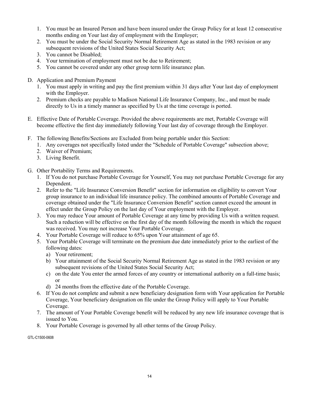- 1. You must be an Insured Person and have been insured under the Group Policy for at least 12 consecutive months ending on Your last day of employment with the Employer;
- 2. You must be under the Social Security Normal Retirement Age as stated in the 1983 revision or any subsequent revisions of the United States Social Security Act;
- 3. You cannot be Disabled;
- 4. Your termination of employment must not be due to Retirement;
- 5. You cannot be covered under any other group term life insurance plan.
- D. Application and Premium Payment
	- 1. You must apply in writing and pay the first premium within 31 days after Your last day of employment with the Employer.
	- 2. Premium checks are payable to Madison National Life Insurance Company, Inc., and must be made directly to Us in a timely manner as specified by Us at the time coverage is ported.
- E. Effective Date of Portable Coverage. Provided the above requirements are met, Portable Coverage will become effective the first day immediately following Your last day of coverage through the Employer.
- F. The following Benefits/Sections are Excluded from being portable under this Section:
	- 1. Any coverages not specifically listed under the "Schedule of Portable Coverage" subsection above;
	- 2. Waiver of Premium;
	- 3. Living Benefit.
- G. Other Portability Terms and Requirements.
	- 1. If You do not purchase Portable Coverage for Yourself, You may not purchase Portable Coverage for any Dependent.
	- 2. Refer to the "Life Insurance Conversion Benefit" section for information on eligibility to convert Your group insurance to an individual life insurance policy. The combined amounts of Portable Coverage and coverage obtained under the "Life Insurance Conversion Benefit" section cannot exceed the amount in effect under the Group Policy on the last day of Your employment with the Employer.
	- 3. You may reduce Your amount of Portable Coverage at any time by providing Us with a written request. Such a reduction will be effective on the first day of the month following the month in which the request was received. You may not increase Your Portable Coverage.
	- 4. Your Portable Coverage will reduce to 65% upon Your attainment of age 65.
	- 5. Your Portable Coverage will terminate on the premium due date immediately prior to the earliest of the following dates:
		- a) Your retirement;
		- b) Your attainment of the Social Security Normal Retirement Age as stated in the 1983 revision or any subsequent revisions of the United States Social Security Act;
		- c) on the date You enter the armed forces of any country or international authority on a full-time basis; or
		- d) 24 months from the effective date of the Portable Coverage.
	- 6. If You do not complete and submit a new beneficiary designation form with Your application for Portable Coverage, Your beneficiary designation on file under the Group Policy will apply to Your Portable Coverage.
	- 7. The amount of Your Portable Coverage benefit will be reduced by any new life insurance coverage that is issued to You.
	- 8. Your Portable Coverage is governed by all other terms of the Group Policy.

GTL-C1500-0608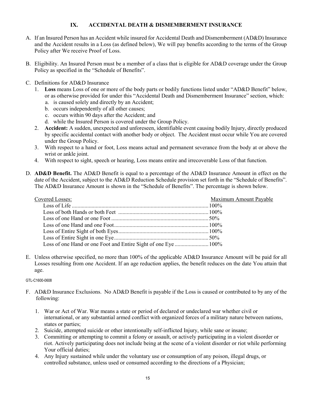#### IX. ACCIDENTAL DEATH & DISMEMBERMENT INSURANCE

- A. If an Insured Person has an Accident while insured for Accidental Death and Dismemberment (AD&D) Insurance and the Accident results in a Loss (as defined below), We will pay benefits according to the terms of the Group Policy after We receive Proof of Loss.
- B. Eligibility. An Insured Person must be a member of a class that is eligible for AD&D coverage under the Group Policy as specified in the "Schedule of Benefits".
- C. Definitions for AD&D Insurance
	- 1. Loss means Loss of one or more of the body parts or bodily functions listed under "AD&D Benefit" below, or as otherwise provided for under this "Accidental Death and Dismemberment Insurance" section, which:
		- a. is caused solely and directly by an Accident;
		- b. occurs independently of all other causes;
		- c. occurs within 90 days after the Accident; and
		- d. while the Insured Person is covered under the Group Policy.
	- 2. Accident: A sudden, unexpected and unforeseen, identifiable event causing bodily Injury, directly produced by specific accidental contact with another body or object. The Accident must occur while You are covered under the Group Policy.
	- 3. With respect to a hand or foot, Loss means actual and permanent severance from the body at or above the wrist or ankle joint.
	- 4. With respect to sight, speech or hearing, Loss means entire and irrecoverable Loss of that function.
- D. AD&D Benefit. The AD&D Benefit is equal to a percentage of the AD&D Insurance Amount in effect on the date of the Accident, subject to the AD&D Reduction Schedule provision set forth in the "Schedule of Benefits". The AD&D Insurance Amount is shown in the "Schedule of Benefits". The percentage is shown below.

| <b>Covered Losses:</b>                                         | Maximum Amount Payable |
|----------------------------------------------------------------|------------------------|
|                                                                |                        |
|                                                                |                        |
|                                                                |                        |
|                                                                |                        |
|                                                                |                        |
|                                                                |                        |
| Loss of one Hand or one Foot and Entire Sight of one Eye  100% |                        |

E. Unless otherwise specified, no more than 100% of the applicable AD&D Insurance Amount will be paid for all Losses resulting from one Accident. If an age reduction applies, the benefit reduces on the date You attain that age.

GTL-C1600-0608

- F. AD&D Insurance Exclusions. No AD&D Benefit is payable if the Loss is caused or contributed to by any of the following:
	- 1. War or Act of War. War means a state or period of declared or undeclared war whether civil or international, or any substantial armed conflict with organized forces of a military nature between nations, states or parties;
	- 2. Suicide, attempted suicide or other intentionally self-inflicted Injury, while sane or insane;
	- 3. Committing or attempting to commit a felony or assault, or actively participating in a violent disorder or riot. Actively participating does not include being at the scene of a violent disorder or riot while performing Your official duties;
	- 4. Any Injury sustained while under the voluntary use or consumption of any poison, illegal drugs, or controlled substance, unless used or consumed according to the directions of a Physician;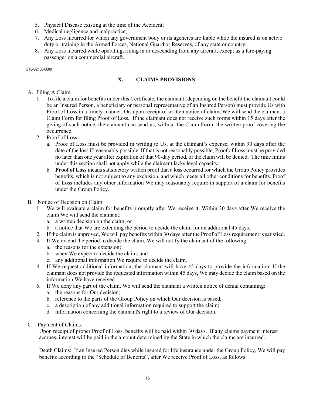- 5. Physical Disease existing at the time of the Accident;
- 6. Medical negligence and malpractice;
- 7. Any Loss incurred for which any government body or its agencies are liable while the insured is on active duty or training in the Armed Forces, National Guard or Reserves, of any state or country;
- 8. Any Loss incurred while operating, riding in or descending from any aircraft, except as a fare-paying passenger on a commercial aircraft.

GTL-C2100-0608

#### X. CLAIMS PROVISIONS

#### A. Filing A Claim

- 1. To file a claim for benefits under this Certificate, the claimant (depending on the benefit the claimant could be an Insured Person, a beneficiary or personal representative of an Insured Person) must provide Us with Proof of Loss in a timely manner. Or, upon receipt of written notice of claim, We will send the claimant a Claim Form for filing Proof of Loss. If the claimant does not receive such forms within 15 days after the giving of such notice, the claimant can send us, without the Claim Form, the written proof covering the occurrence.
- 2. Proof of Loss.
	- a. Proof of Loss must be provided in writing to Us, at the claimant's expense, within 90 days after the date of the loss if reasonably possible. If that is not reasonably possible, Proof of Loss must be provided no later than one year after expiration of that 90-day period, or the claim will be denied. The time limits under this section shall not apply while the claimant lacks legal capacity.
	- b. Proof of Loss means satisfactory written proof that a loss occurred for which the Group Policy provides benefits, which is not subject to any exclusion, and which meets all other conditions for benefits. Proof of Loss includes any other information We may reasonably require in support of a claim for benefits under the Group Policy.
- B. Notice of Decision on Claim
	- 1. We will evaluate a claim for benefits promptly after We receive it. Within 30 days after We receive the claim We will send the claimant:
		- a. a written decision on the claim; or
		- b. a notice that We are extending the period to decide the claim for an additional 45 days.
	- 2. If the claim is approved, We will pay benefits within 30 days after the Proof of Loss requirement is satisfied.
	- 3. If We extend the period to decide the claim, We will notify the claimant of the following:
		- a. the reasons for the extension;
		- b. when We expect to decide the claim; and
		- c. any additional information We require to decide the claim.
	- 4. If We request additional information, the claimant will have 45 days to provide the information. If the claimant does not provide the requested information within 45 days, We may decide the claim based on the information We have received.
	- 5. If We deny any part of the claim, We will send the claimant a written notice of denial containing:
		- a. the reasons for Our decision;
		- b. reference to the parts of the Group Policy on which Our decision is based;
		- c. a description of any additional information required to support the claim;
		- d. information concerning the claimant's right to a review of Our decision.
- C. Payment of Claims.

Upon receipt of proper Proof of Loss, benefits will be paid within 30 days. If any claims payment interest accrues, interest will be paid in the amount determined by the State in which the claims are incurred.

Death Claims: If an Insured Person dies while insured for life insurance under the Group Policy, We will pay benefits according to the "Schedule of Benefits", after We receive Proof of Loss, as follows.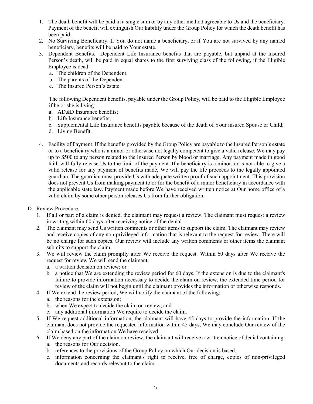- 1. The death benefit will be paid in a single sum or by any other method agreeable to Us and the beneficiary. Payment of the benefit will extinguish Our liability under the Group Policy for which the death benefit has been paid.
- 2. No Surviving Beneficiary. If You do not name a beneficiary, or if You are not survived by any named beneficiary, benefits will be paid to Your estate.
- 3. Dependent Benefits. Dependent Life Insurance benefits that are payable, but unpaid at the Insured Person's death, will be paid in equal shares to the first surviving class of the following, if the Eligible Employee is dead:
	- a. The children of the Dependent.
	- b. The parents of the Dependent.
	- c. The Insured Person's estate.

The following Dependent benefits, payable under the Group Policy, will be paid to the Eligible Employee if he or she is living:

- a. AD&D Insurance benefits;
- b. Life Insurance benefits;
- c. Supplemental Life Insurance benefits payable because of the death of Your insured Spouse or Child;
- d. Living Benefit.
- 4. Facility of Payment. If the benefits provided by the Group Policy are payable to the Insured Person's estate or to a beneficiary who is a minor or otherwise not legally competent to give a valid release, We may pay up to \$500 to any person related to the Insured Person by blood or marriage. Any payment made in good faith will fully release Us to the limit of the payment. If a beneficiary is a minor, or is not able to give a valid release for any payment of benefits made, We will pay the life proceeds to the legally appointed guardian. The guardian must provide Us with adequate written proof of such appointment. This provision does not prevent Us from making payment to or for the benefit of a minor beneficiary in accordance with the applicable state law. Payment made before We have received written notice at Our home office of a valid claim by some other person releases Us from further obligation.
- D. Review Procedure.
	- 1. If all or part of a claim is denied, the claimant may request a review. The claimant must request a review in writing within 60 days after receiving notice of the denial.
	- 2. The claimant may send Us written comments or other items to support the claim. The claimant may review and receive copies of any non-privileged information that is relevant to the request for review. There will be no charge for such copies. Our review will include any written comments or other items the claimant submits to support the claim.
	- 3. We will review the claim promptly after We receive the request. Within 60 days after We receive the request for review We will send the claimant:
		- a. a written decision on review; or
		- b. a notice that We are extending the review period for 60 days. If the extension is due to the claimant's failure to provide information necessary to decide the claim on review, the extended time period for review of the claim will not begin until the claimant provides the information or otherwise responds.
	- 4. If We extend the review period, We will notify the claimant of the following:
		- a. the reasons for the extension;
		- b. when We expect to decide the claim on review; and
		- c. any additional information We require to decide the claim.
	- 5. If We request additional information, the claimant will have 45 days to provide the information. If the claimant does not provide the requested information within 45 days, We may conclude Our review of the claim based on the information We have received.
	- 6. If We deny any part of the claim on review, the claimant will receive a written notice of denial containing:
		- a. the reasons for Our decision.
		- b. references to the provisions of the Group Policy on which Our decision is based.
		- c. information concerning the claimant's right to receive, free of charge, copies of non-privileged documents and records relevant to the claim.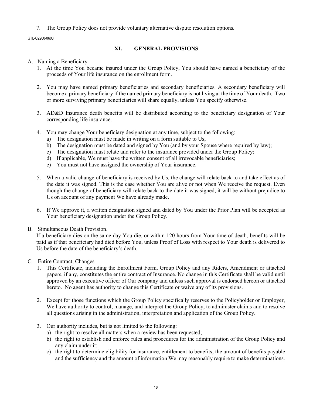7. The Group Policy does not provide voluntary alternative dispute resolution options.

GTL-C2200-0608

#### XI. GENERAL PROVISIONS

#### A. Naming a Beneficiary.

- 1. At the time You became insured under the Group Policy, You should have named a beneficiary of the proceeds of Your life insurance on the enrollment form.
- 2. You may have named primary beneficiaries and secondary beneficiaries. A secondary beneficiary will become a primary beneficiary if the named primary beneficiary is not living at the time of Your death. Two or more surviving primary beneficiaries will share equally, unless You specify otherwise.
- 3. AD&D Insurance death benefits will be distributed according to the beneficiary designation of Your corresponding life insurance.
- 4. You may change Your beneficiary designation at any time, subject to the following:
	- a) The designation must be made in writing on a form suitable to Us;
	- b) The designation must be dated and signed by You (and by your Spouse where required by law);
	- c) The designation must relate and refer to the insurance provided under the Group Policy;
	- d) If applicable, We must have the written consent of all irrevocable beneficiaries;
	- e) You must not have assigned the ownership of Your insurance.
- 5. When a valid change of beneficiary is received by Us, the change will relate back to and take effect as of the date it was signed. This is the case whether You are alive or not when We receive the request. Even though the change of beneficiary will relate back to the date it was signed, it will be without prejudice to Us on account of any payment We have already made.
- 6. If We approve it, a written designation signed and dated by You under the Prior Plan will be accepted as Your beneficiary designation under the Group Policy.
- B. Simultaneous Death Provision.

If a beneficiary dies on the same day You die, or within 120 hours from Your time of death, benefits will be paid as if that beneficiary had died before You, unless Proof of Loss with respect to Your death is delivered to Us before the date of the beneficiary's death.

- C. Entire Contract, Changes
	- 1. This Certificate, including the Enrollment Form, Group Policy and any Riders, Amendment or attached papers, if any, constitutes the entire contract of Insurance. No change in this Certificate shall be valid until approved by an executive officer of Our company and unless such approval is endorsed hereon or attached hereto. No agent has authority to change this Certificate or waive any of its provisions.
	- 2. Except for those functions which the Group Policy specifically reserves to the Policyholder or Employer, We have authority to control, manage, and interpret the Group Policy, to administer claims and to resolve all questions arising in the administration, interpretation and application of the Group Policy.
	- 3. Our authority includes, but is not limited to the following:
		- a) the right to resolve all matters when a review has been requested;
		- b) the right to establish and enforce rules and procedures for the administration of the Group Policy and any claim under it;
		- c) the right to determine eligibility for insurance, entitlement to benefits, the amount of benefits payable and the sufficiency and the amount of information We may reasonably require to make determinations.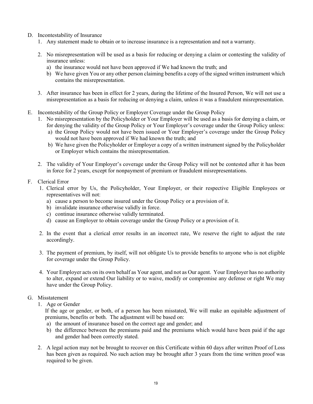- D. Incontestability of Insurance
	- 1. Any statement made to obtain or to increase insurance is a representation and not a warranty.
	- 2. No misrepresentation will be used as a basis for reducing or denying a claim or contesting the validity of insurance unless:
		- a) the insurance would not have been approved if We had known the truth; and
		- b) We have given You or any other person claiming benefits a copy of the signed written instrument which contains the misrepresentation.
	- 3. After insurance has been in effect for 2 years, during the lifetime of the Insured Person, We will not use a misrepresentation as a basis for reducing or denying a claim, unless it was a fraudulent misrepresentation.
- E. Incontestability of the Group Policy or Employer Coverage under the Group Policy
	- 1. No misrepresentation by the Policyholder or Your Employer will be used as a basis for denying a claim, or for denying the validity of the Group Policy or Your Employer's coverage under the Group Policy unless:
		- a) the Group Policy would not have been issued or Your Employer's coverage under the Group Policy would not have been approved if We had known the truth; and
		- b) We have given the Policyholder or Employer a copy of a written instrument signed by the Policyholder or Employer which contains the misrepresentation.
	- 2. The validity of Your Employer's coverage under the Group Policy will not be contested after it has been in force for 2 years, except for nonpayment of premium or fraudulent misrepresentations.
- F. Clerical Error
	- 1. Clerical error by Us, the Policyholder, Your Employer, or their respective Eligible Employees or representatives will not:
		- a) cause a person to become insured under the Group Policy or a provision of it.
		- b) invalidate insurance otherwise validly in force.
		- c) continue insurance otherwise validly terminated.
		- d) cause an Employer to obtain coverage under the Group Policy or a provision of it.
	- 2. In the event that a clerical error results in an incorrect rate, We reserve the right to adjust the rate accordingly.
	- 3. The payment of premium, by itself, will not obligate Us to provide benefits to anyone who is not eligible for coverage under the Group Policy.
	- 4. Your Employer acts on its own behalf as Your agent, and not as Our agent. Your Employer has no authority to alter, expand or extend Our liability or to waive, modify or compromise any defense or right We may have under the Group Policy.
- G. Misstatement
	- 1. Age or Gender

If the age or gender, or both, of a person has been misstated, We will make an equitable adjustment of premiums, benefits or both. The adjustment will be based on:

- a) the amount of insurance based on the correct age and gender; and
- b) the difference between the premiums paid and the premiums which would have been paid if the age and gender had been correctly stated.
- 2. A legal action may not be brought to recover on this Certificate within 60 days after written Proof of Loss has been given as required. No such action may be brought after 3 years from the time written proof was required to be given.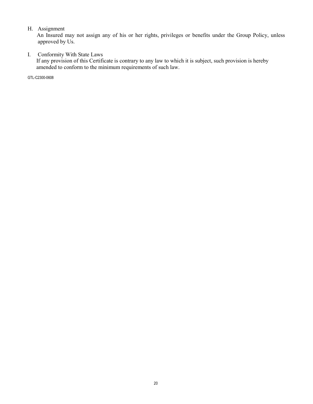#### H. Assignment

An Insured may not assign any of his or her rights, privileges or benefits under the Group Policy, unless approved by Us.

#### I. Conformity With State Laws

If any provision of this Certificate is contrary to any law to which it is subject, such provision is hereby amended to conform to the minimum requirements of such law.

GTL-C2300-0608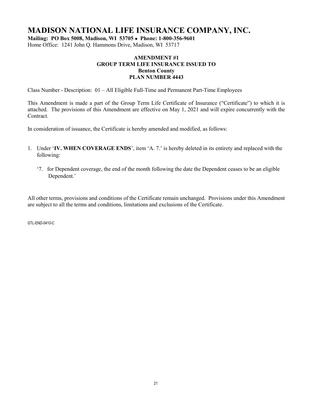## MADISON NATIONAL LIFE INSURANCE COMPANY, INC.

Mailing: PO Box 5008, Madison, WI 53705 • Phone: 1-800-356-9601

Home Office: 1241 John Q. Hammons Drive, Madison, WI 53717

#### AMENDMENT #1 GROUP TERM LIFE INSURANCE ISSUED TO Benton County PLAN NUMBER 4443

Class Number - Description: 01 – All Eligible Full-Time and Permanent Part-Time Employees

This Amendment is made a part of the Group Term Life Certificate of Insurance ("Certificate") to which it is attached. The provisions of this Amendment are effective on May 1, 2021 and will expire concurrently with the Contract.

In consideration of issuance, the Certificate is hereby amended and modified, as follows:

- 1. Under 'IV. WHEN COVERAGE ENDS', item 'A. 7.' is hereby deleted in its entirety and replaced with the following:
	- '7. for Dependent coverage, the end of the month following the date the Dependent ceases to be an eligible Dependent.'

All other terms, provisions and conditions of the Certificate remain unchanged. Provisions under this Amendment are subject to all the terms and conditions, limitations and exclusions of the Certificate.

GTL-END-0410-C